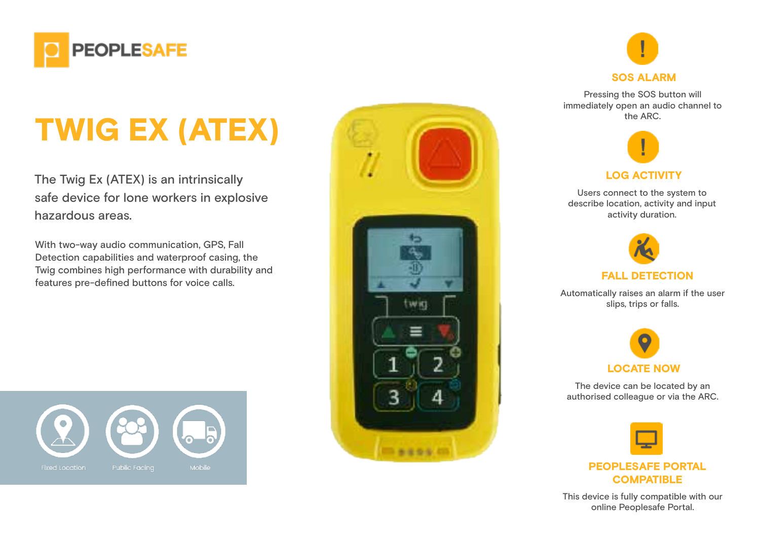

# TWIG EX (ATEX)

The Twig Ex (ATEX) is an intrinsically safe device for lone workers in explosive hazardous areas.

With two-way audio communication, GPS, Fall Detection capabilities and waterproof casing, the Twig combines high performance with durability and features pre-defined buttons for voice calls.





Pressing the SOS button will immediately open an audio channel to the ARC.



Users connect to the system to describe location, activity and input activity duration.



Automatically raises an alarm if the user slips, trips or falls.



The device can be located by an authorised colleague or via the ARC.



This device is fully compatible with our online Peoplesafe Portal.